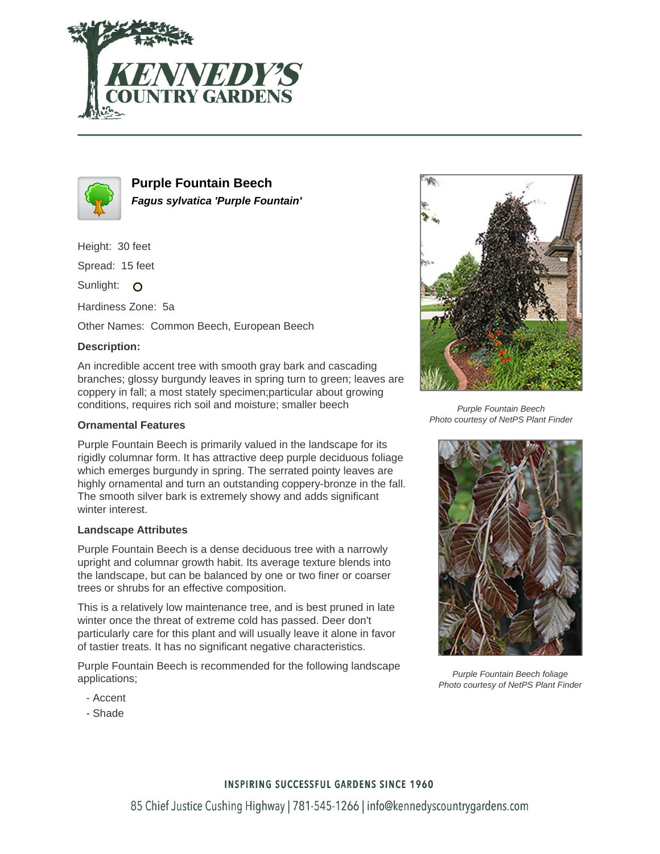



**Purple Fountain Beech Fagus sylvatica 'Purple Fountain'**

Height: 30 feet

Spread: 15 feet

Sunlight: O

Hardiness Zone: 5a

Other Names: Common Beech, European Beech

## **Description:**

An incredible accent tree with smooth gray bark and cascading branches; glossy burgundy leaves in spring turn to green; leaves are coppery in fall; a most stately specimen;particular about growing conditions, requires rich soil and moisture; smaller beech

### **Ornamental Features**

Purple Fountain Beech is primarily valued in the landscape for its rigidly columnar form. It has attractive deep purple deciduous foliage which emerges burgundy in spring. The serrated pointy leaves are highly ornamental and turn an outstanding coppery-bronze in the fall. The smooth silver bark is extremely showy and adds significant winter interest.

#### **Landscape Attributes**

Purple Fountain Beech is a dense deciduous tree with a narrowly upright and columnar growth habit. Its average texture blends into the landscape, but can be balanced by one or two finer or coarser trees or shrubs for an effective composition.

This is a relatively low maintenance tree, and is best pruned in late winter once the threat of extreme cold has passed. Deer don't particularly care for this plant and will usually leave it alone in favor of tastier treats. It has no significant negative characteristics.

Purple Fountain Beech is recommended for the following landscape applications;

- Accent
- Shade



Purple Fountain Beech Photo courtesy of NetPS Plant Finder



Purple Fountain Beech foliage Photo courtesy of NetPS Plant Finder

#### **INSPIRING SUCCESSFUL GARDENS SINCE 1960**

85 Chief Justice Cushing Highway | 781-545-1266 | info@kennedyscountrygardens.com